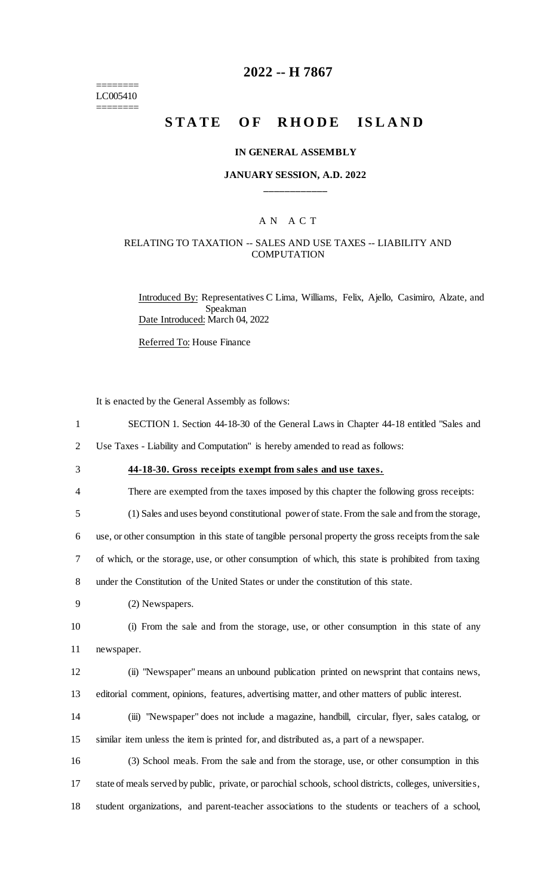======== LC005410 ========

# **2022 -- H 7867**

# STATE OF RHODE ISLAND

#### **IN GENERAL ASSEMBLY**

#### **JANUARY SESSION, A.D. 2022 \_\_\_\_\_\_\_\_\_\_\_\_**

#### A N A C T

#### RELATING TO TAXATION -- SALES AND USE TAXES -- LIABILITY AND COMPUTATION

Introduced By: Representatives C Lima, Williams, Felix, Ajello, Casimiro, Alzate, and Speakman Date Introduced: March 04, 2022

Referred To: House Finance

|                | It is enacted by the General Assembly as follows:                                                         |
|----------------|-----------------------------------------------------------------------------------------------------------|
| $\mathbf{1}$   | SECTION 1. Section 44-18-30 of the General Laws in Chapter 44-18 entitled "Sales and                      |
| $\overline{2}$ | Use Taxes - Liability and Computation" is hereby amended to read as follows:                              |
| 3              | 44-18-30. Gross receipts exempt from sales and use taxes.                                                 |
| 4              | There are exempted from the taxes imposed by this chapter the following gross receipts:                   |
| 5              | (1) Sales and uses beyond constitutional power of state. From the sale and from the storage,              |
| 6              | use, or other consumption in this state of tangible personal property the gross receipts from the sale    |
| 7              | of which, or the storage, use, or other consumption of which, this state is prohibited from taxing        |
| 8              | under the Constitution of the United States or under the constitution of this state.                      |
| 9              | (2) Newspapers.                                                                                           |
| 10             | (i) From the sale and from the storage, use, or other consumption in this state of any                    |
| 11             | newspaper.                                                                                                |
| 12             | (ii) "Newspaper" means an unbound publication printed on newsprint that contains news,                    |
| 13             | editorial comment, opinions, features, advertising matter, and other matters of public interest.          |
| 14             | (iii) "Newspaper" does not include a magazine, handbill, circular, flyer, sales catalog, or               |
| 15             | similar item unless the item is printed for, and distributed as, a part of a newspaper.                   |
| 16             | (3) School meals. From the sale and from the storage, use, or other consumption in this                   |
| 17             | state of meals served by public, private, or parochial schools, school districts, colleges, universities, |
| 18             | student organizations, and parent-teacher associations to the students or teachers of a school,           |
|                |                                                                                                           |
|                |                                                                                                           |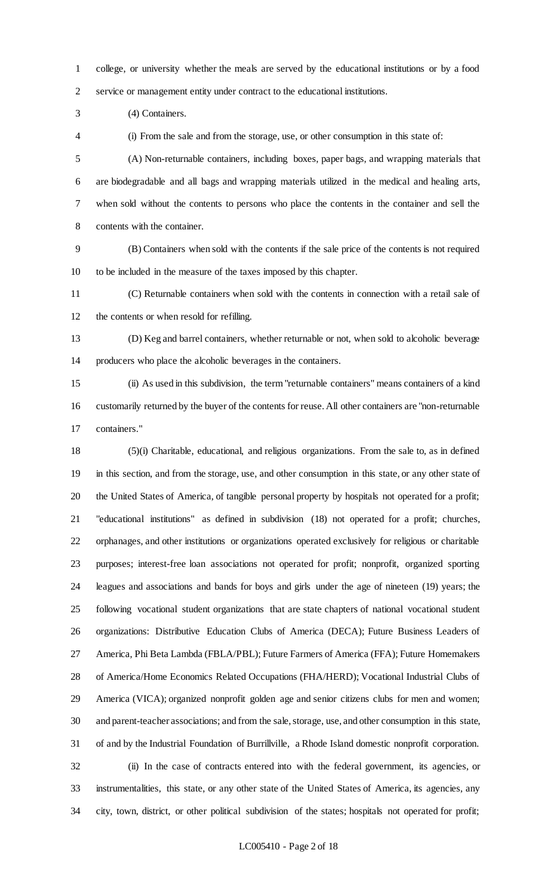college, or university whether the meals are served by the educational institutions or by a food service or management entity under contract to the educational institutions.

(4) Containers.

(i) From the sale and from the storage, use, or other consumption in this state of:

 (A) Non-returnable containers, including boxes, paper bags, and wrapping materials that are biodegradable and all bags and wrapping materials utilized in the medical and healing arts, when sold without the contents to persons who place the contents in the container and sell the contents with the container.

 (B) Containers when sold with the contents if the sale price of the contents is not required to be included in the measure of the taxes imposed by this chapter.

 (C) Returnable containers when sold with the contents in connection with a retail sale of the contents or when resold for refilling.

 (D) Keg and barrel containers, whether returnable or not, when sold to alcoholic beverage producers who place the alcoholic beverages in the containers.

 (ii) As used in this subdivision, the term "returnable containers" means containers of a kind customarily returned by the buyer of the contents for reuse. All other containers are "non-returnable containers."

 (5)(i) Charitable, educational, and religious organizations. From the sale to, as in defined in this section, and from the storage, use, and other consumption in this state, or any other state of the United States of America, of tangible personal property by hospitals not operated for a profit; "educational institutions" as defined in subdivision (18) not operated for a profit; churches, orphanages, and other institutions or organizations operated exclusively for religious or charitable purposes; interest-free loan associations not operated for profit; nonprofit, organized sporting leagues and associations and bands for boys and girls under the age of nineteen (19) years; the following vocational student organizations that are state chapters of national vocational student organizations: Distributive Education Clubs of America (DECA); Future Business Leaders of America, Phi Beta Lambda (FBLA/PBL); Future Farmers of America (FFA); Future Homemakers of America/Home Economics Related Occupations (FHA/HERD); Vocational Industrial Clubs of America (VICA); organized nonprofit golden age and senior citizens clubs for men and women; and parent-teacher associations; and from the sale, storage, use, and other consumption in this state, of and by the Industrial Foundation of Burrillville, a Rhode Island domestic nonprofit corporation. (ii) In the case of contracts entered into with the federal government, its agencies, or instrumentalities, this state, or any other state of the United States of America, its agencies, any city, town, district, or other political subdivision of the states; hospitals not operated for profit;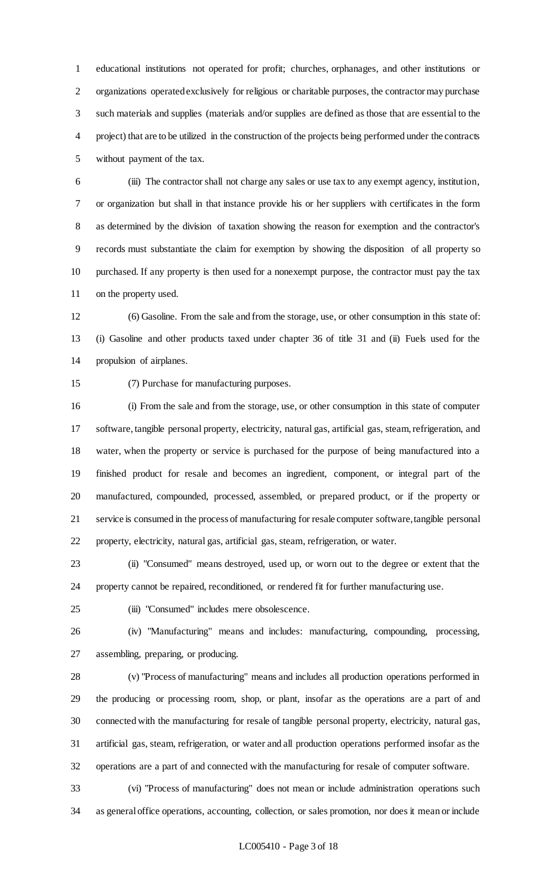educational institutions not operated for profit; churches, orphanages, and other institutions or organizations operated exclusively for religious or charitable purposes, the contractor may purchase such materials and supplies (materials and/or supplies are defined as those that are essential to the project) that are to be utilized in the construction of the projects being performed under the contracts without payment of the tax.

 (iii) The contractor shall not charge any sales or use tax to any exempt agency, institution, or organization but shall in that instance provide his or her suppliers with certificates in the form as determined by the division of taxation showing the reason for exemption and the contractor's records must substantiate the claim for exemption by showing the disposition of all property so purchased. If any property is then used for a nonexempt purpose, the contractor must pay the tax on the property used.

 (6) Gasoline. From the sale and from the storage, use, or other consumption in this state of: (i) Gasoline and other products taxed under chapter 36 of title 31 and (ii) Fuels used for the propulsion of airplanes.

(7) Purchase for manufacturing purposes.

 (i) From the sale and from the storage, use, or other consumption in this state of computer software, tangible personal property, electricity, natural gas, artificial gas, steam, refrigeration, and water, when the property or service is purchased for the purpose of being manufactured into a finished product for resale and becomes an ingredient, component, or integral part of the manufactured, compounded, processed, assembled, or prepared product, or if the property or service is consumed in the process of manufacturing for resale computer software, tangible personal property, electricity, natural gas, artificial gas, steam, refrigeration, or water.

 (ii) "Consumed" means destroyed, used up, or worn out to the degree or extent that the property cannot be repaired, reconditioned, or rendered fit for further manufacturing use.

(iii) "Consumed" includes mere obsolescence.

 (iv) "Manufacturing" means and includes: manufacturing, compounding, processing, assembling, preparing, or producing.

 (v) "Process of manufacturing" means and includes all production operations performed in the producing or processing room, shop, or plant, insofar as the operations are a part of and connected with the manufacturing for resale of tangible personal property, electricity, natural gas, artificial gas, steam, refrigeration, or water and all production operations performed insofar as the operations are a part of and connected with the manufacturing for resale of computer software.

 (vi) "Process of manufacturing" does not mean or include administration operations such as general office operations, accounting, collection, or sales promotion, nor does it mean or include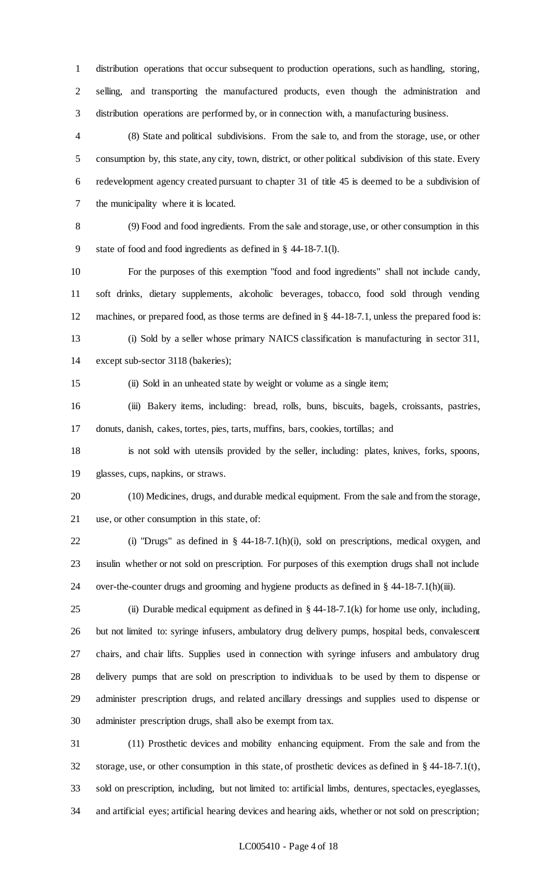distribution operations that occur subsequent to production operations, such as handling, storing, selling, and transporting the manufactured products, even though the administration and distribution operations are performed by, or in connection with, a manufacturing business.

 (8) State and political subdivisions. From the sale to, and from the storage, use, or other consumption by, this state, any city, town, district, or other political subdivision of this state. Every redevelopment agency created pursuant to chapter 31 of title 45 is deemed to be a subdivision of the municipality where it is located.

 (9) Food and food ingredients. From the sale and storage, use, or other consumption in this state of food and food ingredients as defined in § 44-18-7.1(l).

 For the purposes of this exemption "food and food ingredients" shall not include candy, soft drinks, dietary supplements, alcoholic beverages, tobacco, food sold through vending machines, or prepared food, as those terms are defined in § 44-18-7.1, unless the prepared food is: (i) Sold by a seller whose primary NAICS classification is manufacturing in sector 311,

except sub-sector 3118 (bakeries);

(ii) Sold in an unheated state by weight or volume as a single item;

 (iii) Bakery items, including: bread, rolls, buns, biscuits, bagels, croissants, pastries, donuts, danish, cakes, tortes, pies, tarts, muffins, bars, cookies, tortillas; and

 is not sold with utensils provided by the seller, including: plates, knives, forks, spoons, glasses, cups, napkins, or straws.

 (10) Medicines, drugs, and durable medical equipment. From the sale and from the storage, use, or other consumption in this state, of:

 (i) "Drugs" as defined in § 44-18-7.1(h)(i), sold on prescriptions, medical oxygen, and insulin whether or not sold on prescription. For purposes of this exemption drugs shall not include over-the-counter drugs and grooming and hygiene products as defined in § 44-18-7.1(h)(iii).

25 (ii) Durable medical equipment as defined in  $\S$  44-18-7.1(k) for home use only, including, but not limited to: syringe infusers, ambulatory drug delivery pumps, hospital beds, convalescent chairs, and chair lifts. Supplies used in connection with syringe infusers and ambulatory drug delivery pumps that are sold on prescription to individuals to be used by them to dispense or administer prescription drugs, and related ancillary dressings and supplies used to dispense or administer prescription drugs, shall also be exempt from tax.

 (11) Prosthetic devices and mobility enhancing equipment. From the sale and from the storage, use, or other consumption in this state, of prosthetic devices as defined in § 44-18-7.1(t), sold on prescription, including, but not limited to: artificial limbs, dentures, spectacles, eyeglasses, and artificial eyes; artificial hearing devices and hearing aids, whether or not sold on prescription;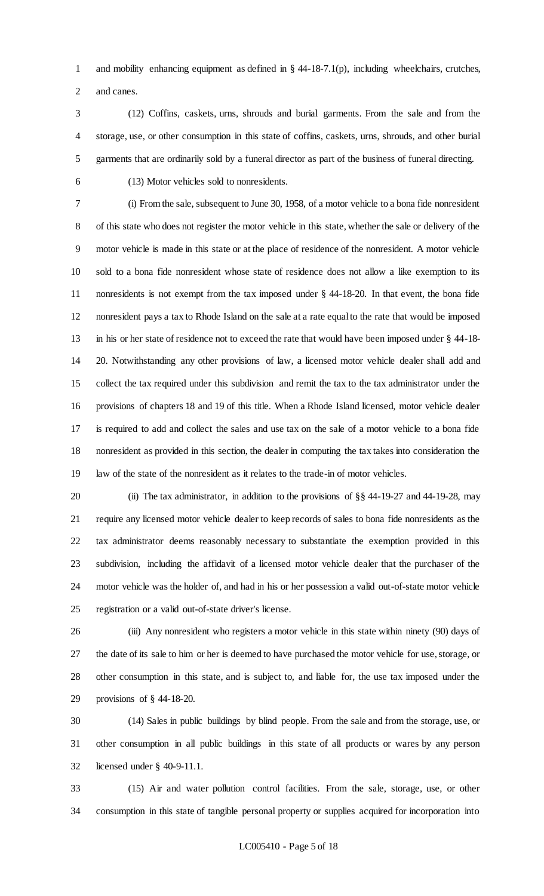and mobility enhancing equipment as defined in § 44-18-7.1(p), including wheelchairs, crutches, and canes.

- (12) Coffins, caskets, urns, shrouds and burial garments. From the sale and from the storage, use, or other consumption in this state of coffins, caskets, urns, shrouds, and other burial garments that are ordinarily sold by a funeral director as part of the business of funeral directing.
- 

(13) Motor vehicles sold to nonresidents.

 (i) From the sale, subsequent to June 30, 1958, of a motor vehicle to a bona fide nonresident of this state who does not register the motor vehicle in this state, whether the sale or delivery of the motor vehicle is made in this state or at the place of residence of the nonresident. A motor vehicle sold to a bona fide nonresident whose state of residence does not allow a like exemption to its nonresidents is not exempt from the tax imposed under § 44-18-20. In that event, the bona fide nonresident pays a tax to Rhode Island on the sale at a rate equal to the rate that would be imposed in his or her state of residence not to exceed the rate that would have been imposed under § 44-18- 20. Notwithstanding any other provisions of law, a licensed motor vehicle dealer shall add and collect the tax required under this subdivision and remit the tax to the tax administrator under the provisions of chapters 18 and 19 of this title. When a Rhode Island licensed, motor vehicle dealer is required to add and collect the sales and use tax on the sale of a motor vehicle to a bona fide nonresident as provided in this section, the dealer in computing the tax takes into consideration the law of the state of the nonresident as it relates to the trade-in of motor vehicles.

 (ii) The tax administrator, in addition to the provisions of §§ 44-19-27 and 44-19-28, may require any licensed motor vehicle dealer to keep records of sales to bona fide nonresidents as the tax administrator deems reasonably necessary to substantiate the exemption provided in this subdivision, including the affidavit of a licensed motor vehicle dealer that the purchaser of the motor vehicle was the holder of, and had in his or her possession a valid out-of-state motor vehicle registration or a valid out-of-state driver's license.

 (iii) Any nonresident who registers a motor vehicle in this state within ninety (90) days of the date of its sale to him or her is deemed to have purchased the motor vehicle for use, storage, or other consumption in this state, and is subject to, and liable for, the use tax imposed under the provisions of § 44-18-20.

 (14) Sales in public buildings by blind people. From the sale and from the storage, use, or other consumption in all public buildings in this state of all products or wares by any person licensed under § 40-9-11.1.

 (15) Air and water pollution control facilities. From the sale, storage, use, or other consumption in this state of tangible personal property or supplies acquired for incorporation into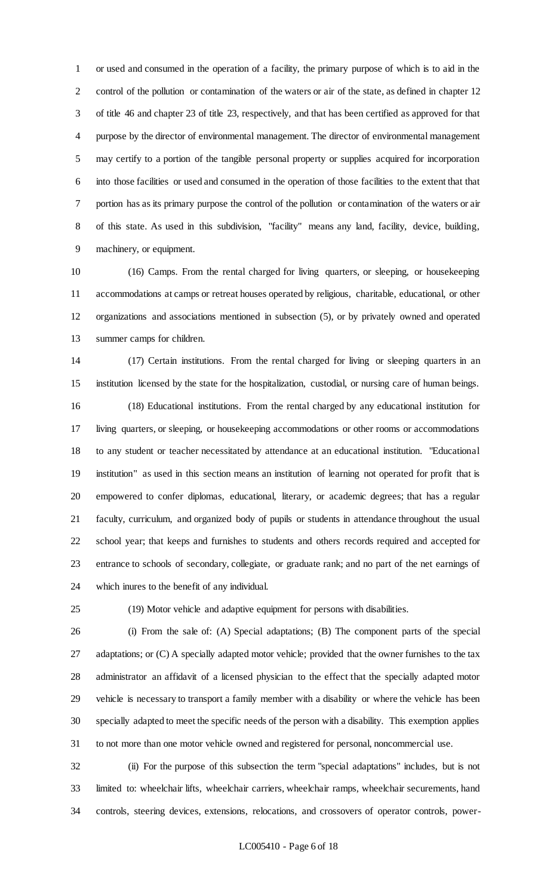or used and consumed in the operation of a facility, the primary purpose of which is to aid in the control of the pollution or contamination of the waters or air of the state, as defined in chapter 12 of title 46 and chapter 23 of title 23, respectively, and that has been certified as approved for that purpose by the director of environmental management. The director of environmental management may certify to a portion of the tangible personal property or supplies acquired for incorporation into those facilities or used and consumed in the operation of those facilities to the extent that that portion has as its primary purpose the control of the pollution or contamination of the waters or air of this state. As used in this subdivision, "facility" means any land, facility, device, building, machinery, or equipment.

 (16) Camps. From the rental charged for living quarters, or sleeping, or housekeeping accommodations at camps or retreat houses operated by religious, charitable, educational, or other organizations and associations mentioned in subsection (5), or by privately owned and operated summer camps for children.

 (17) Certain institutions. From the rental charged for living or sleeping quarters in an institution licensed by the state for the hospitalization, custodial, or nursing care of human beings.

 (18) Educational institutions. From the rental charged by any educational institution for living quarters, or sleeping, or housekeeping accommodations or other rooms or accommodations to any student or teacher necessitated by attendance at an educational institution. "Educational institution" as used in this section means an institution of learning not operated for profit that is empowered to confer diplomas, educational, literary, or academic degrees; that has a regular faculty, curriculum, and organized body of pupils or students in attendance throughout the usual school year; that keeps and furnishes to students and others records required and accepted for entrance to schools of secondary, collegiate, or graduate rank; and no part of the net earnings of which inures to the benefit of any individual.

(19) Motor vehicle and adaptive equipment for persons with disabilities.

 (i) From the sale of: (A) Special adaptations; (B) The component parts of the special adaptations; or (C) A specially adapted motor vehicle; provided that the owner furnishes to the tax administrator an affidavit of a licensed physician to the effect that the specially adapted motor vehicle is necessary to transport a family member with a disability or where the vehicle has been specially adapted to meet the specific needs of the person with a disability. This exemption applies to not more than one motor vehicle owned and registered for personal, noncommercial use.

 (ii) For the purpose of this subsection the term "special adaptations" includes, but is not limited to: wheelchair lifts, wheelchair carriers, wheelchair ramps, wheelchair securements, hand controls, steering devices, extensions, relocations, and crossovers of operator controls, power-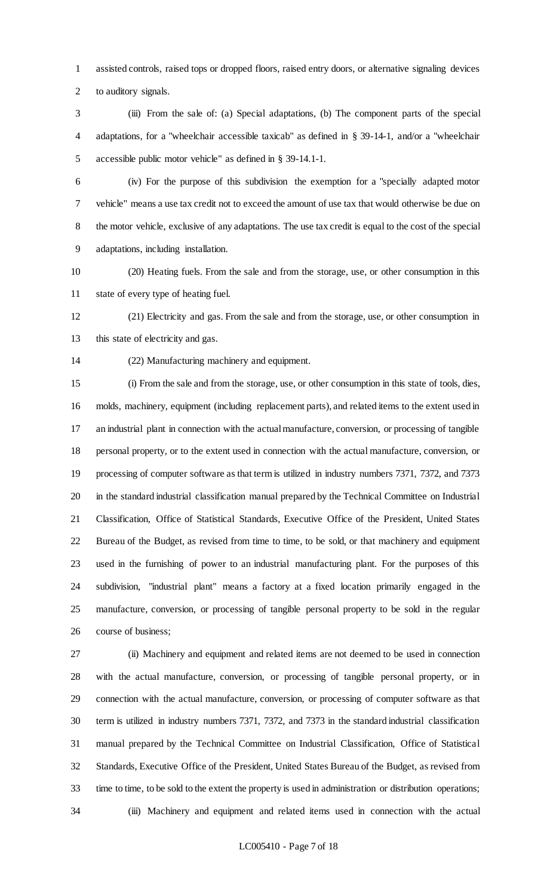assisted controls, raised tops or dropped floors, raised entry doors, or alternative signaling devices to auditory signals.

 (iii) From the sale of: (a) Special adaptations, (b) The component parts of the special adaptations, for a "wheelchair accessible taxicab" as defined in § 39-14-1, and/or a "wheelchair accessible public motor vehicle" as defined in § 39-14.1-1.

 (iv) For the purpose of this subdivision the exemption for a "specially adapted motor vehicle" means a use tax credit not to exceed the amount of use tax that would otherwise be due on the motor vehicle, exclusive of any adaptations. The use tax credit is equal to the cost of the special adaptations, including installation.

 (20) Heating fuels. From the sale and from the storage, use, or other consumption in this state of every type of heating fuel.

 (21) Electricity and gas. From the sale and from the storage, use, or other consumption in this state of electricity and gas.

(22) Manufacturing machinery and equipment.

 (i) From the sale and from the storage, use, or other consumption in this state of tools, dies, molds, machinery, equipment (including replacement parts), and related items to the extent used in an industrial plant in connection with the actual manufacture, conversion, or processing of tangible personal property, or to the extent used in connection with the actual manufacture, conversion, or processing of computer software as that term is utilized in industry numbers 7371, 7372, and 7373 in the standard industrial classification manual prepared by the Technical Committee on Industrial Classification, Office of Statistical Standards, Executive Office of the President, United States Bureau of the Budget, as revised from time to time, to be sold, or that machinery and equipment used in the furnishing of power to an industrial manufacturing plant. For the purposes of this subdivision, "industrial plant" means a factory at a fixed location primarily engaged in the manufacture, conversion, or processing of tangible personal property to be sold in the regular course of business;

 (ii) Machinery and equipment and related items are not deemed to be used in connection with the actual manufacture, conversion, or processing of tangible personal property, or in connection with the actual manufacture, conversion, or processing of computer software as that term is utilized in industry numbers 7371, 7372, and 7373 in the standard industrial classification manual prepared by the Technical Committee on Industrial Classification, Office of Statistical Standards, Executive Office of the President, United States Bureau of the Budget, as revised from time to time, to be sold to the extent the property is used in administration or distribution operations; (iii) Machinery and equipment and related items used in connection with the actual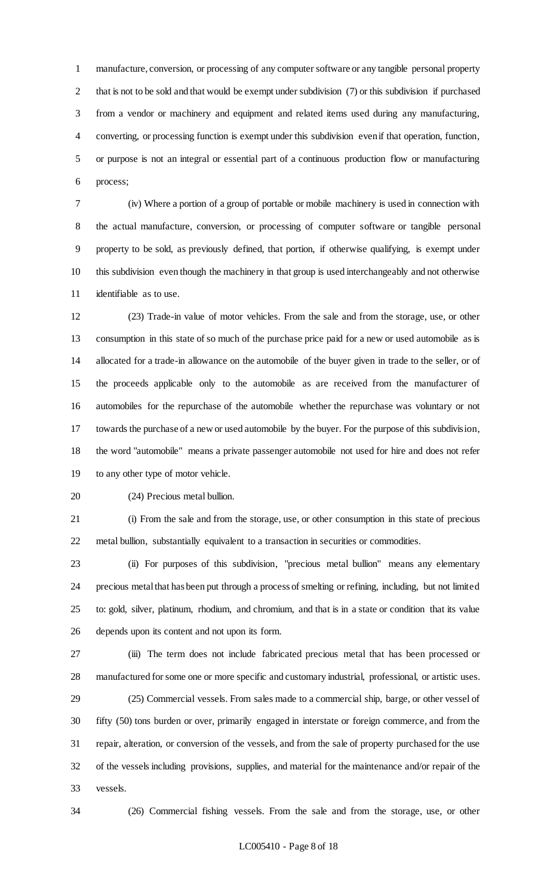manufacture, conversion, or processing of any computer software or any tangible personal property that is not to be sold and that would be exempt under subdivision (7) or this subdivision if purchased from a vendor or machinery and equipment and related items used during any manufacturing, converting, or processing function is exempt under this subdivision even if that operation, function, or purpose is not an integral or essential part of a continuous production flow or manufacturing process;

 (iv) Where a portion of a group of portable or mobile machinery is used in connection with the actual manufacture, conversion, or processing of computer software or tangible personal property to be sold, as previously defined, that portion, if otherwise qualifying, is exempt under this subdivision even though the machinery in that group is used interchangeably and not otherwise identifiable as to use.

 (23) Trade-in value of motor vehicles. From the sale and from the storage, use, or other consumption in this state of so much of the purchase price paid for a new or used automobile as is allocated for a trade-in allowance on the automobile of the buyer given in trade to the seller, or of the proceeds applicable only to the automobile as are received from the manufacturer of automobiles for the repurchase of the automobile whether the repurchase was voluntary or not towards the purchase of a new or used automobile by the buyer. For the purpose of this subdivision, the word "automobile" means a private passenger automobile not used for hire and does not refer to any other type of motor vehicle.

(24) Precious metal bullion.

 (i) From the sale and from the storage, use, or other consumption in this state of precious metal bullion, substantially equivalent to a transaction in securities or commodities.

 (ii) For purposes of this subdivision, "precious metal bullion" means any elementary precious metal that has been put through a process of smelting or refining, including, but not limited to: gold, silver, platinum, rhodium, and chromium, and that is in a state or condition that its value depends upon its content and not upon its form.

 (iii) The term does not include fabricated precious metal that has been processed or manufactured for some one or more specific and customary industrial, professional, or artistic uses.

 (25) Commercial vessels. From sales made to a commercial ship, barge, or other vessel of fifty (50) tons burden or over, primarily engaged in interstate or foreign commerce, and from the repair, alteration, or conversion of the vessels, and from the sale of property purchased for the use of the vessels including provisions, supplies, and material for the maintenance and/or repair of the vessels.

(26) Commercial fishing vessels. From the sale and from the storage, use, or other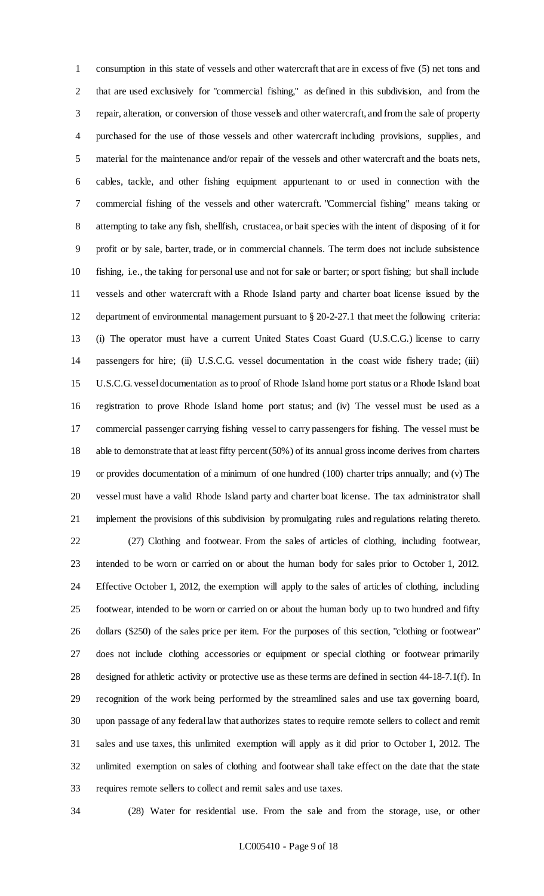consumption in this state of vessels and other watercraft that are in excess of five (5) net tons and that are used exclusively for "commercial fishing," as defined in this subdivision, and from the repair, alteration, or conversion of those vessels and other watercraft, and from the sale of property purchased for the use of those vessels and other watercraft including provisions, supplies, and material for the maintenance and/or repair of the vessels and other watercraft and the boats nets, cables, tackle, and other fishing equipment appurtenant to or used in connection with the commercial fishing of the vessels and other watercraft. "Commercial fishing" means taking or attempting to take any fish, shellfish, crustacea, or bait species with the intent of disposing of it for profit or by sale, barter, trade, or in commercial channels. The term does not include subsistence fishing, i.e., the taking for personal use and not for sale or barter; or sport fishing; but shall include vessels and other watercraft with a Rhode Island party and charter boat license issued by the department of environmental management pursuant to § 20-2-27.1 that meet the following criteria: (i) The operator must have a current United States Coast Guard (U.S.C.G.) license to carry passengers for hire; (ii) U.S.C.G. vessel documentation in the coast wide fishery trade; (iii) U.S.C.G. vessel documentation as to proof of Rhode Island home port status or a Rhode Island boat registration to prove Rhode Island home port status; and (iv) The vessel must be used as a commercial passenger carrying fishing vessel to carry passengers for fishing. The vessel must be able to demonstrate that at least fifty percent (50%) of its annual gross income derives from charters or provides documentation of a minimum of one hundred (100) charter trips annually; and (v) The vessel must have a valid Rhode Island party and charter boat license. The tax administrator shall implement the provisions of this subdivision by promulgating rules and regulations relating thereto. (27) Clothing and footwear. From the sales of articles of clothing, including footwear, intended to be worn or carried on or about the human body for sales prior to October 1, 2012. Effective October 1, 2012, the exemption will apply to the sales of articles of clothing, including footwear, intended to be worn or carried on or about the human body up to two hundred and fifty dollars (\$250) of the sales price per item. For the purposes of this section, "clothing or footwear" does not include clothing accessories or equipment or special clothing or footwear primarily designed for athletic activity or protective use as these terms are defined in section 44-18-7.1(f). In recognition of the work being performed by the streamlined sales and use tax governing board, upon passage of any federal law that authorizes states to require remote sellers to collect and remit sales and use taxes, this unlimited exemption will apply as it did prior to October 1, 2012. The unlimited exemption on sales of clothing and footwear shall take effect on the date that the state requires remote sellers to collect and remit sales and use taxes.

(28) Water for residential use. From the sale and from the storage, use, or other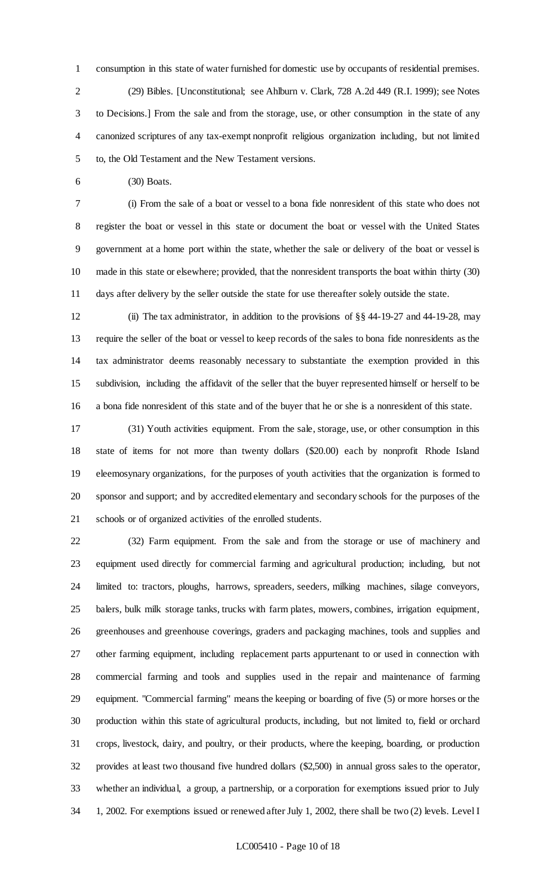consumption in this state of water furnished for domestic use by occupants of residential premises. (29) Bibles. [Unconstitutional; see Ahlburn v. Clark, 728 A.2d 449 (R.I. 1999); see Notes to Decisions.] From the sale and from the storage, use, or other consumption in the state of any canonized scriptures of any tax-exempt nonprofit religious organization including, but not limited to, the Old Testament and the New Testament versions.

(30) Boats.

 (i) From the sale of a boat or vessel to a bona fide nonresident of this state who does not register the boat or vessel in this state or document the boat or vessel with the United States government at a home port within the state, whether the sale or delivery of the boat or vessel is made in this state or elsewhere; provided, that the nonresident transports the boat within thirty (30) days after delivery by the seller outside the state for use thereafter solely outside the state.

 (ii) The tax administrator, in addition to the provisions of §§ 44-19-27 and 44-19-28, may require the seller of the boat or vessel to keep records of the sales to bona fide nonresidents as the tax administrator deems reasonably necessary to substantiate the exemption provided in this subdivision, including the affidavit of the seller that the buyer represented himself or herself to be a bona fide nonresident of this state and of the buyer that he or she is a nonresident of this state.

 (31) Youth activities equipment. From the sale, storage, use, or other consumption in this state of items for not more than twenty dollars (\$20.00) each by nonprofit Rhode Island eleemosynary organizations, for the purposes of youth activities that the organization is formed to sponsor and support; and by accredited elementary and secondary schools for the purposes of the schools or of organized activities of the enrolled students.

 (32) Farm equipment. From the sale and from the storage or use of machinery and equipment used directly for commercial farming and agricultural production; including, but not limited to: tractors, ploughs, harrows, spreaders, seeders, milking machines, silage conveyors, balers, bulk milk storage tanks, trucks with farm plates, mowers, combines, irrigation equipment, greenhouses and greenhouse coverings, graders and packaging machines, tools and supplies and other farming equipment, including replacement parts appurtenant to or used in connection with commercial farming and tools and supplies used in the repair and maintenance of farming equipment. "Commercial farming" means the keeping or boarding of five (5) or more horses or the production within this state of agricultural products, including, but not limited to, field or orchard crops, livestock, dairy, and poultry, or their products, where the keeping, boarding, or production provides at least two thousand five hundred dollars (\$2,500) in annual gross sales to the operator, whether an individual, a group, a partnership, or a corporation for exemptions issued prior to July 1, 2002. For exemptions issued or renewed after July 1, 2002, there shall be two (2) levels. Level I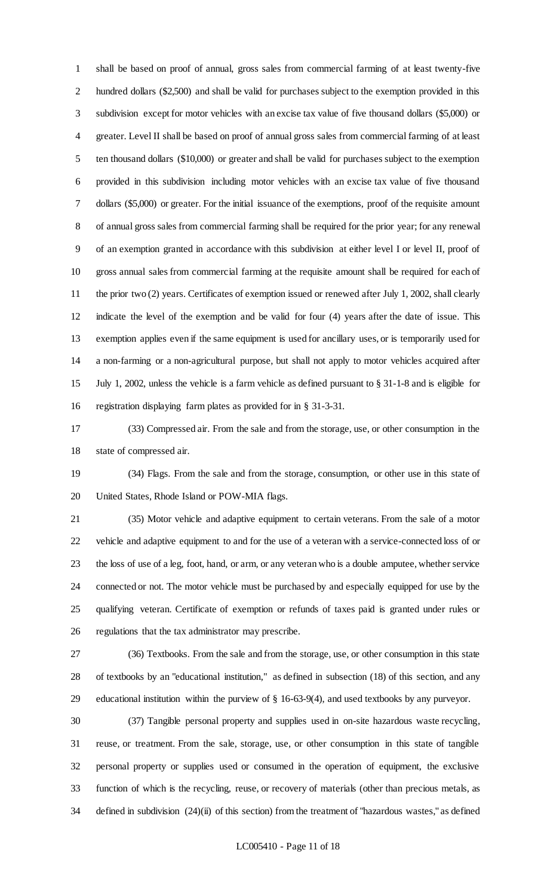shall be based on proof of annual, gross sales from commercial farming of at least twenty-five hundred dollars (\$2,500) and shall be valid for purchases subject to the exemption provided in this subdivision except for motor vehicles with an excise tax value of five thousand dollars (\$5,000) or greater. Level II shall be based on proof of annual gross sales from commercial farming of at least ten thousand dollars (\$10,000) or greater and shall be valid for purchases subject to the exemption provided in this subdivision including motor vehicles with an excise tax value of five thousand dollars (\$5,000) or greater. For the initial issuance of the exemptions, proof of the requisite amount of annual gross sales from commercial farming shall be required for the prior year; for any renewal of an exemption granted in accordance with this subdivision at either level I or level II, proof of gross annual sales from commercial farming at the requisite amount shall be required for each of 11 the prior two (2) years. Certificates of exemption issued or renewed after July 1, 2002, shall clearly indicate the level of the exemption and be valid for four (4) years after the date of issue. This exemption applies even if the same equipment is used for ancillary uses, or is temporarily used for a non-farming or a non-agricultural purpose, but shall not apply to motor vehicles acquired after July 1, 2002, unless the vehicle is a farm vehicle as defined pursuant to § 31-1-8 and is eligible for registration displaying farm plates as provided for in § 31-3-31.

 (33) Compressed air. From the sale and from the storage, use, or other consumption in the state of compressed air.

 (34) Flags. From the sale and from the storage, consumption, or other use in this state of United States, Rhode Island or POW-MIA flags.

 (35) Motor vehicle and adaptive equipment to certain veterans. From the sale of a motor vehicle and adaptive equipment to and for the use of a veteran with a service-connected loss of or the loss of use of a leg, foot, hand, or arm, or any veteran who is a double amputee, whether service connected or not. The motor vehicle must be purchased by and especially equipped for use by the qualifying veteran. Certificate of exemption or refunds of taxes paid is granted under rules or regulations that the tax administrator may prescribe.

 (36) Textbooks. From the sale and from the storage, use, or other consumption in this state of textbooks by an "educational institution," as defined in subsection (18) of this section, and any educational institution within the purview of § 16-63-9(4), and used textbooks by any purveyor.

 (37) Tangible personal property and supplies used in on-site hazardous waste recycling, reuse, or treatment. From the sale, storage, use, or other consumption in this state of tangible personal property or supplies used or consumed in the operation of equipment, the exclusive function of which is the recycling, reuse, or recovery of materials (other than precious metals, as defined in subdivision (24)(ii) of this section) from the treatment of "hazardous wastes," as defined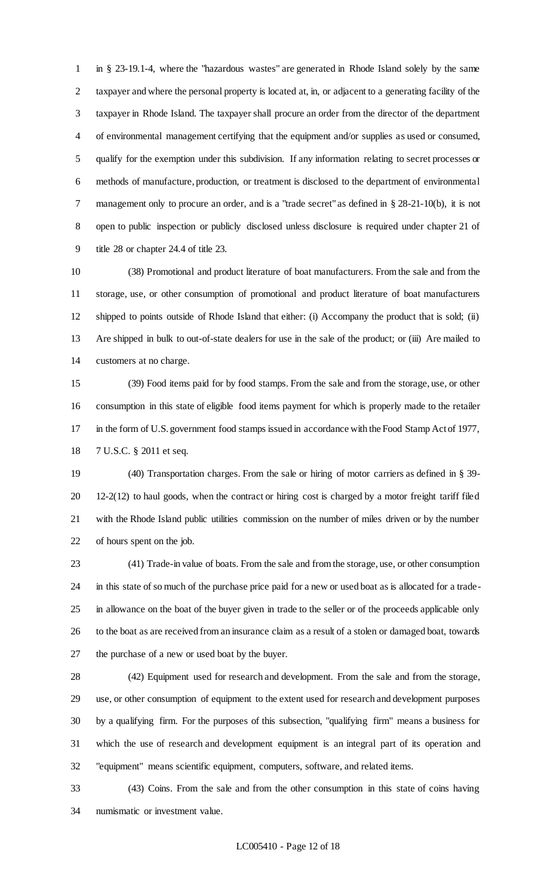in § 23-19.1-4, where the "hazardous wastes" are generated in Rhode Island solely by the same taxpayer and where the personal property is located at, in, or adjacent to a generating facility of the taxpayer in Rhode Island. The taxpayer shall procure an order from the director of the department of environmental management certifying that the equipment and/or supplies as used or consumed, qualify for the exemption under this subdivision. If any information relating to secret processes or methods of manufacture, production, or treatment is disclosed to the department of environmental management only to procure an order, and is a "trade secret" as defined in § 28-21-10(b), it is not open to public inspection or publicly disclosed unless disclosure is required under chapter 21 of title 28 or chapter 24.4 of title 23.

 (38) Promotional and product literature of boat manufacturers. From the sale and from the storage, use, or other consumption of promotional and product literature of boat manufacturers shipped to points outside of Rhode Island that either: (i) Accompany the product that is sold; (ii) Are shipped in bulk to out-of-state dealers for use in the sale of the product; or (iii) Are mailed to customers at no charge.

 (39) Food items paid for by food stamps. From the sale and from the storage, use, or other consumption in this state of eligible food items payment for which is properly made to the retailer in the form of U.S. government food stamps issued in accordance with the Food Stamp Act of 1977, 7 U.S.C. § 2011 et seq.

 (40) Transportation charges. From the sale or hiring of motor carriers as defined in § 39- 12-2(12) to haul goods, when the contract or hiring cost is charged by a motor freight tariff filed with the Rhode Island public utilities commission on the number of miles driven or by the number of hours spent on the job.

 (41) Trade-in value of boats. From the sale and from the storage, use, or other consumption in this state of so much of the purchase price paid for a new or used boat as is allocated for a trade- in allowance on the boat of the buyer given in trade to the seller or of the proceeds applicable only to the boat as are received from an insurance claim as a result of a stolen or damaged boat, towards the purchase of a new or used boat by the buyer.

 (42) Equipment used for research and development. From the sale and from the storage, use, or other consumption of equipment to the extent used for research and development purposes by a qualifying firm. For the purposes of this subsection, "qualifying firm" means a business for which the use of research and development equipment is an integral part of its operation and "equipment" means scientific equipment, computers, software, and related items.

 (43) Coins. From the sale and from the other consumption in this state of coins having numismatic or investment value.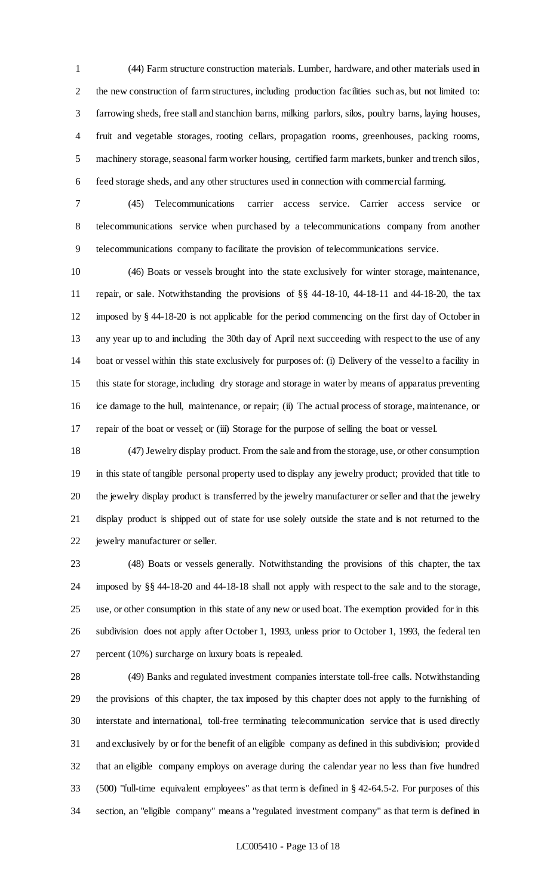(44) Farm structure construction materials. Lumber, hardware, and other materials used in the new construction of farm structures, including production facilities such as, but not limited to: farrowing sheds, free stall and stanchion barns, milking parlors, silos, poultry barns, laying houses, fruit and vegetable storages, rooting cellars, propagation rooms, greenhouses, packing rooms, machinery storage, seasonal farm worker housing, certified farm markets, bunker and trench silos, feed storage sheds, and any other structures used in connection with commercial farming.

 (45) Telecommunications carrier access service. Carrier access service or telecommunications service when purchased by a telecommunications company from another telecommunications company to facilitate the provision of telecommunications service.

 (46) Boats or vessels brought into the state exclusively for winter storage, maintenance, repair, or sale. Notwithstanding the provisions of §§ 44-18-10, 44-18-11 and 44-18-20, the tax imposed by § 44-18-20 is not applicable for the period commencing on the first day of October in any year up to and including the 30th day of April next succeeding with respect to the use of any boat or vessel within this state exclusively for purposes of: (i) Delivery of the vessel to a facility in this state for storage, including dry storage and storage in water by means of apparatus preventing ice damage to the hull, maintenance, or repair; (ii) The actual process of storage, maintenance, or repair of the boat or vessel; or (iii) Storage for the purpose of selling the boat or vessel.

 (47) Jewelry display product. From the sale and from the storage, use, or other consumption in this state of tangible personal property used to display any jewelry product; provided that title to the jewelry display product is transferred by the jewelry manufacturer or seller and that the jewelry display product is shipped out of state for use solely outside the state and is not returned to the jewelry manufacturer or seller.

 (48) Boats or vessels generally. Notwithstanding the provisions of this chapter, the tax imposed by §§ 44-18-20 and 44-18-18 shall not apply with respect to the sale and to the storage, use, or other consumption in this state of any new or used boat. The exemption provided for in this subdivision does not apply after October 1, 1993, unless prior to October 1, 1993, the federal ten percent (10%) surcharge on luxury boats is repealed.

 (49) Banks and regulated investment companies interstate toll-free calls. Notwithstanding the provisions of this chapter, the tax imposed by this chapter does not apply to the furnishing of interstate and international, toll-free terminating telecommunication service that is used directly and exclusively by or for the benefit of an eligible company as defined in this subdivision; provided that an eligible company employs on average during the calendar year no less than five hundred (500) "full-time equivalent employees" as that term is defined in § 42-64.5-2. For purposes of this section, an "eligible company" means a "regulated investment company" as that term is defined in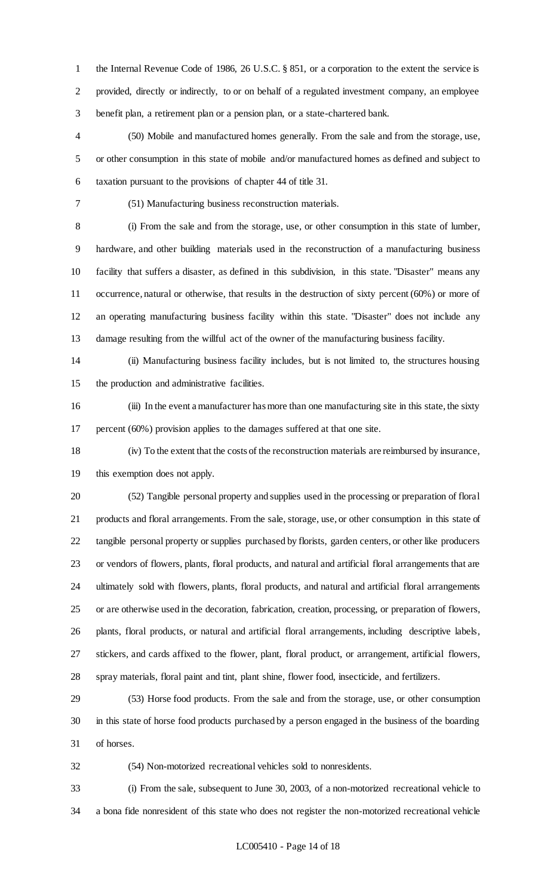the Internal Revenue Code of 1986, 26 U.S.C. § 851, or a corporation to the extent the service is provided, directly or indirectly, to or on behalf of a regulated investment company, an employee benefit plan, a retirement plan or a pension plan, or a state-chartered bank.

 (50) Mobile and manufactured homes generally. From the sale and from the storage, use, or other consumption in this state of mobile and/or manufactured homes as defined and subject to taxation pursuant to the provisions of chapter 44 of title 31.

(51) Manufacturing business reconstruction materials.

 (i) From the sale and from the storage, use, or other consumption in this state of lumber, hardware, and other building materials used in the reconstruction of a manufacturing business facility that suffers a disaster, as defined in this subdivision, in this state. "Disaster" means any occurrence, natural or otherwise, that results in the destruction of sixty percent (60%) or more of an operating manufacturing business facility within this state. "Disaster" does not include any damage resulting from the willful act of the owner of the manufacturing business facility.

 (ii) Manufacturing business facility includes, but is not limited to, the structures housing the production and administrative facilities.

 (iii) In the event a manufacturer has more than one manufacturing site in this state, the sixty percent (60%) provision applies to the damages suffered at that one site.

 (iv) To the extent that the costs of the reconstruction materials are reimbursed by insurance, this exemption does not apply.

 (52) Tangible personal property and supplies used in the processing or preparation of floral products and floral arrangements. From the sale, storage, use, or other consumption in this state of tangible personal property or supplies purchased by florists, garden centers, or other like producers or vendors of flowers, plants, floral products, and natural and artificial floral arrangements that are ultimately sold with flowers, plants, floral products, and natural and artificial floral arrangements or are otherwise used in the decoration, fabrication, creation, processing, or preparation of flowers, plants, floral products, or natural and artificial floral arrangements, including descriptive labels, stickers, and cards affixed to the flower, plant, floral product, or arrangement, artificial flowers, spray materials, floral paint and tint, plant shine, flower food, insecticide, and fertilizers.

 (53) Horse food products. From the sale and from the storage, use, or other consumption in this state of horse food products purchased by a person engaged in the business of the boarding of horses.

(54) Non-motorized recreational vehicles sold to nonresidents.

 (i) From the sale, subsequent to June 30, 2003, of a non-motorized recreational vehicle to a bona fide nonresident of this state who does not register the non-motorized recreational vehicle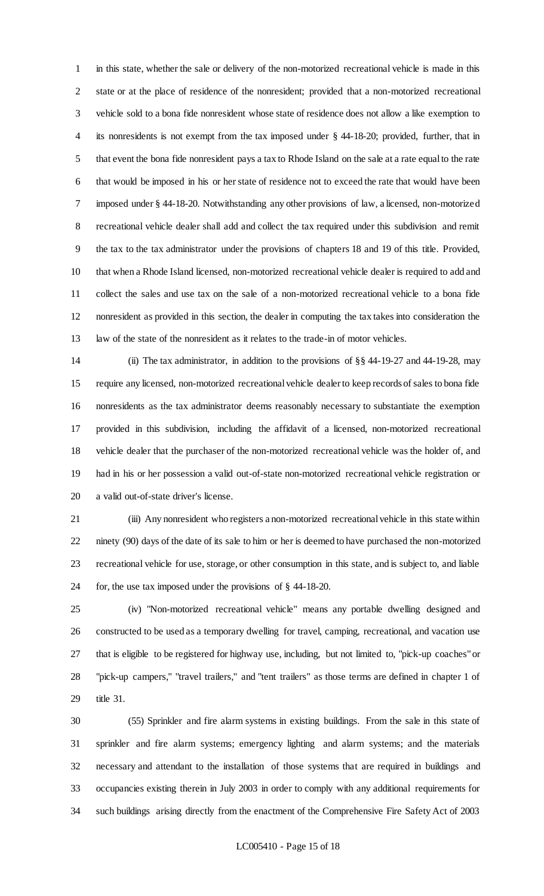in this state, whether the sale or delivery of the non-motorized recreational vehicle is made in this state or at the place of residence of the nonresident; provided that a non-motorized recreational vehicle sold to a bona fide nonresident whose state of residence does not allow a like exemption to its nonresidents is not exempt from the tax imposed under § 44-18-20; provided, further, that in that event the bona fide nonresident pays a tax to Rhode Island on the sale at a rate equal to the rate that would be imposed in his or her state of residence not to exceed the rate that would have been imposed under § 44-18-20. Notwithstanding any other provisions of law, a licensed, non-motorized recreational vehicle dealer shall add and collect the tax required under this subdivision and remit the tax to the tax administrator under the provisions of chapters 18 and 19 of this title. Provided, that when a Rhode Island licensed, non-motorized recreational vehicle dealer is required to add and collect the sales and use tax on the sale of a non-motorized recreational vehicle to a bona fide nonresident as provided in this section, the dealer in computing the tax takes into consideration the law of the state of the nonresident as it relates to the trade-in of motor vehicles.

 (ii) The tax administrator, in addition to the provisions of §§ 44-19-27 and 44-19-28, may require any licensed, non-motorized recreational vehicle dealer to keep records of sales to bona fide nonresidents as the tax administrator deems reasonably necessary to substantiate the exemption provided in this subdivision, including the affidavit of a licensed, non-motorized recreational vehicle dealer that the purchaser of the non-motorized recreational vehicle was the holder of, and had in his or her possession a valid out-of-state non-motorized recreational vehicle registration or a valid out-of-state driver's license.

 (iii) Any nonresident who registers a non-motorized recreational vehicle in this state within ninety (90) days of the date of its sale to him or her is deemed to have purchased the non-motorized recreational vehicle for use, storage, or other consumption in this state, and is subject to, and liable for, the use tax imposed under the provisions of § 44-18-20.

 (iv) "Non-motorized recreational vehicle" means any portable dwelling designed and constructed to be used as a temporary dwelling for travel, camping, recreational, and vacation use that is eligible to be registered for highway use, including, but not limited to, "pick-up coaches" or "pick-up campers," "travel trailers," and "tent trailers" as those terms are defined in chapter 1 of title 31.

 (55) Sprinkler and fire alarm systems in existing buildings. From the sale in this state of sprinkler and fire alarm systems; emergency lighting and alarm systems; and the materials necessary and attendant to the installation of those systems that are required in buildings and occupancies existing therein in July 2003 in order to comply with any additional requirements for such buildings arising directly from the enactment of the Comprehensive Fire Safety Act of 2003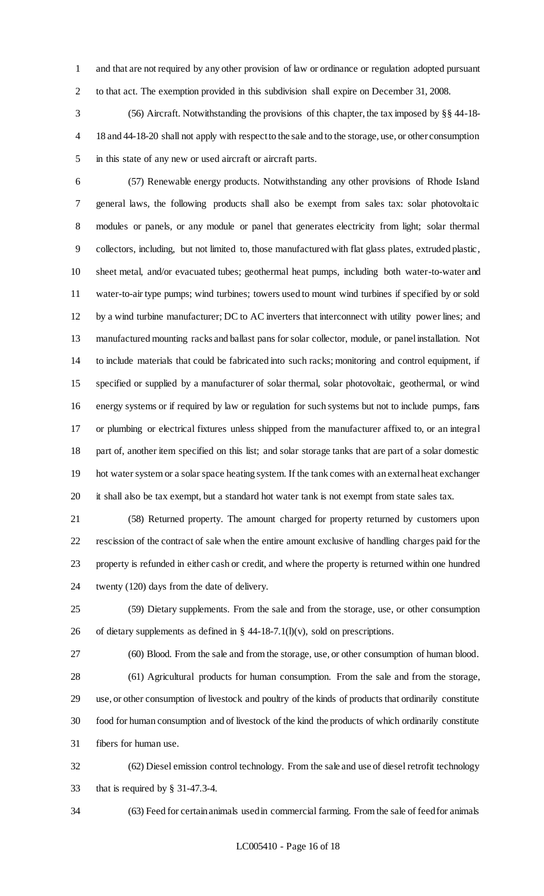and that are not required by any other provision of law or ordinance or regulation adopted pursuant to that act. The exemption provided in this subdivision shall expire on December 31, 2008.

 (56) Aircraft. Notwithstanding the provisions of this chapter, the tax imposed by §§ 44-18- 18 and 44-18-20 shall not apply with respect to the sale and to the storage, use, or other consumption in this state of any new or used aircraft or aircraft parts.

 (57) Renewable energy products. Notwithstanding any other provisions of Rhode Island general laws, the following products shall also be exempt from sales tax: solar photovoltaic modules or panels, or any module or panel that generates electricity from light; solar thermal collectors, including, but not limited to, those manufactured with flat glass plates, extruded plastic, sheet metal, and/or evacuated tubes; geothermal heat pumps, including both water-to-water and water-to-air type pumps; wind turbines; towers used to mount wind turbines if specified by or sold by a wind turbine manufacturer; DC to AC inverters that interconnect with utility power lines; and manufactured mounting racks and ballast pans for solar collector, module, or panel installation. Not to include materials that could be fabricated into such racks; monitoring and control equipment, if specified or supplied by a manufacturer of solar thermal, solar photovoltaic, geothermal, or wind energy systems or if required by law or regulation for such systems but not to include pumps, fans or plumbing or electrical fixtures unless shipped from the manufacturer affixed to, or an integral part of, another item specified on this list; and solar storage tanks that are part of a solar domestic hot water system or a solar space heating system. If the tank comes with an external heat exchanger it shall also be tax exempt, but a standard hot water tank is not exempt from state sales tax.

 (58) Returned property. The amount charged for property returned by customers upon rescission of the contract of sale when the entire amount exclusive of handling charges paid for the property is refunded in either cash or credit, and where the property is returned within one hundred twenty (120) days from the date of delivery.

 (59) Dietary supplements. From the sale and from the storage, use, or other consumption 26 of dietary supplements as defined in  $\S$  44-18-7.1(l)(v), sold on prescriptions.

(60) Blood. From the sale and from the storage, use, or other consumption of human blood.

 (61) Agricultural products for human consumption. From the sale and from the storage, use, or other consumption of livestock and poultry of the kinds of products that ordinarily constitute food for human consumption and of livestock of the kind the products of which ordinarily constitute fibers for human use.

 (62) Diesel emission control technology. From the sale and use of diesel retrofit technology that is required by § 31-47.3-4.

(63) Feed for certain animals used in commercial farming. From the sale of feed for animals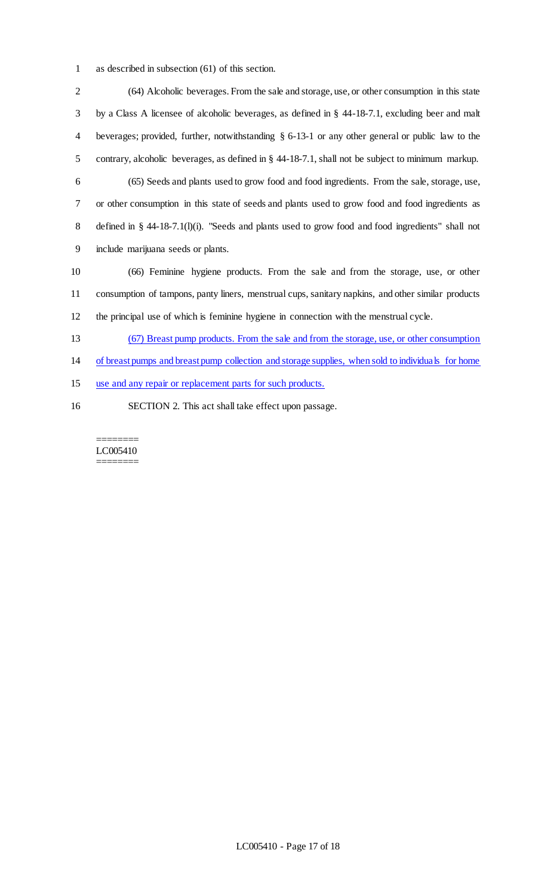as described in subsection (61) of this section.

 (64) Alcoholic beverages. From the sale and storage, use, or other consumption in this state by a Class A licensee of alcoholic beverages, as defined in § 44-18-7.1, excluding beer and malt beverages; provided, further, notwithstanding § 6-13-1 or any other general or public law to the contrary, alcoholic beverages, as defined in § 44-18-7.1, shall not be subject to minimum markup. (65) Seeds and plants used to grow food and food ingredients. From the sale, storage, use, or other consumption in this state of seeds and plants used to grow food and food ingredients as 8 defined in § 44-18-7.1(l)(i). "Seeds and plants used to grow food and food ingredients" shall not include marijuana seeds or plants. (66) Feminine hygiene products. From the sale and from the storage, use, or other consumption of tampons, panty liners, menstrual cups, sanitary napkins, and other similar products the principal use of which is feminine hygiene in connection with the menstrual cycle. (67) Breast pump products. From the sale and from the storage, use, or other consumption of breast pumps and breast pump collection and storage supplies, when sold to individuals for home use and any repair or replacement parts for such products.

SECTION 2. This act shall take effect upon passage.

======== LC005410 ========